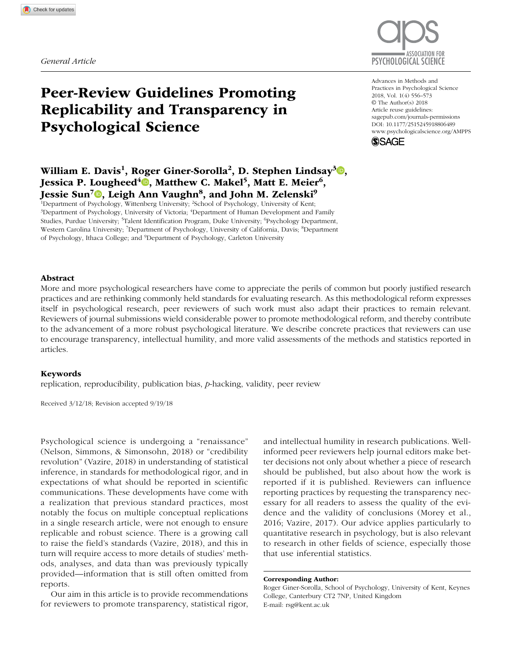

# Peer-Review Guidelines Promoting Replicability and Transparency in Psychological Science

DOI: 10.1177/2515245918806489 Advances in Methods and Practices in Psychological Science 2018, Vol. 1(4) 556–573 © The Author(s) 2018 Article reuse guidelines: [sagepub.com/journals-permissions](https://sagepub.com/journals-permissions) www.psychologicalscience.org/AMPPS



## William E. Davis<sup>1</sup>, Roger Giner-Sorolla<sup>2</sup>, D. Stephen Lindsay<sup>3</sup><sup>0</sup>, Jessica P. Lougheed<sup>4</sup><sup>D</sup>, Matthew C. Makel<sup>5</sup>, Matt E. Meier<sup>6</sup>, Jessie Sun<sup>7</sup><sup>0</sup>, Leigh Ann Vaughn<sup>8</sup>, and John M. Zelenski<sup>9</sup>

<sup>1</sup>Department of Psychology, Wittenberg University; <sup>2</sup>School of Psychology, University of Kent;<br><sup>3</sup>Department of Psychology, University of Victoria: <sup>4</sup>Department of Human Development and E Department of Psychology, University of Victoria; <sup>4</sup>Department of Human Development and Family Studies, Purdue University; <sup>5</sup>Talent Identification Program, Duke University; <sup>6</sup>Psychology Department, Western Carolina University; <sup>7</sup>Department of Psychology, University of California, Davis; <sup>8</sup>Department of Psychology, Ithaca College; and <sup>9</sup>Department of Psychology, Carleton University

#### Abstract

More and more psychological researchers have come to appreciate the perils of common but poorly justified research practices and are rethinking commonly held standards for evaluating research. As this methodological reform expresses itself in psychological research, peer reviewers of such work must also adapt their practices to remain relevant. Reviewers of journal submissions wield considerable power to promote methodological reform, and thereby contribute to the advancement of a more robust psychological literature. We describe concrete practices that reviewers can use to encourage transparency, intellectual humility, and more valid assessments of the methods and statistics reported in articles.

#### Keywords

replication, reproducibility, publication bias, *p*-hacking, validity, peer review

Received 3/12/18; Revision accepted 9/19/18

Psychological science is undergoing a "renaissance" (Nelson, Simmons, & Simonsohn, 2018) or "credibility revolution" (Vazire, 2018) in understanding of statistical inference, in standards for methodological rigor, and in expectations of what should be reported in scientific communications. These developments have come with a realization that previous standard practices, most notably the focus on multiple conceptual replications in a single research article, were not enough to ensure replicable and robust science. There is a growing call to raise the field's standards (Vazire, 2018), and this in turn will require access to more details of studies' methods, analyses, and data than was previously typically provided—information that is still often omitted from reports.

Our aim in this article is to provide recommendations for reviewers to promote transparency, statistical rigor,

and intellectual humility in research publications. Wellinformed peer reviewers help journal editors make better decisions not only about whether a piece of research should be published, but also about how the work is reported if it is published. Reviewers can influence reporting practices by requesting the transparency necessary for all readers to assess the quality of the evidence and the validity of conclusions (Morey et al., 2016; Vazire, 2017). Our advice applies particularly to quantitative research in psychology, but is also relevant to research in other fields of science, especially those that use inferential statistics.

#### Corresponding Author:

Roger Giner-Sorolla, School of Psychology, University of Kent, Keynes College, Canterbury CT2 7NP, United Kingdom E-mail: rsg@kent.ac.uk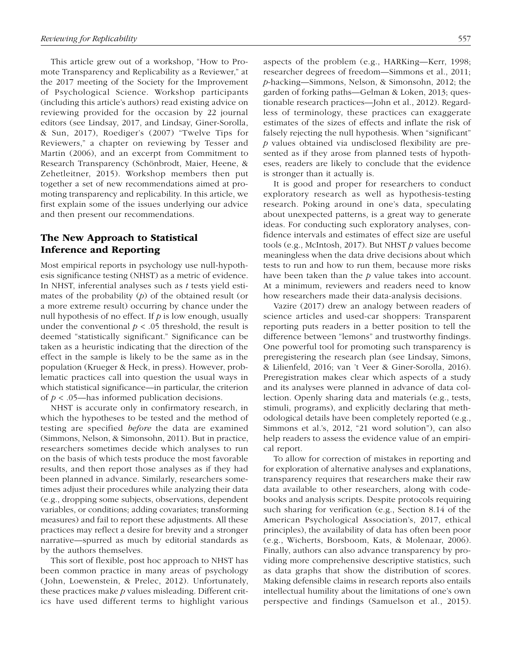This article grew out of a workshop, "How to Promote Transparency and Replicability as a Reviewer," at the 2017 meeting of the Society for the Improvement of Psychological Science. Workshop participants (including this article's authors) read existing advice on reviewing provided for the occasion by 22 journal editors (see Lindsay, 2017, and Lindsay, Giner-Sorolla, & Sun, 2017), Roediger's (2007) "Twelve Tips for Reviewers," a chapter on reviewing by Tesser and Martin (2006), and an excerpt from Commitment to Research Transparency (Schönbrodt, Maier, Heene, & Zehetleitner, 2015). Workshop members then put together a set of new recommendations aimed at promoting transparency and replicability. In this article, we first explain some of the issues underlying our advice and then present our recommendations.

## The New Approach to Statistical Inference and Reporting

Most empirical reports in psychology use null-hypothesis significance testing (NHST) as a metric of evidence. In NHST, inferential analyses such as *t* tests yield estimates of the probability (*p*) of the obtained result (or a more extreme result) occurring by chance under the null hypothesis of no effect. If *p* is low enough, usually under the conventional  $p < .05$  threshold, the result is deemed "statistically significant." Significance can be taken as a heuristic indicating that the direction of the effect in the sample is likely to be the same as in the population (Krueger & Heck, in press). However, problematic practices call into question the usual ways in which statistical significance—in particular, the criterion of  $p < 0.05$ —has informed publication decisions.

NHST is accurate only in confirmatory research, in which the hypotheses to be tested and the method of testing are specified *before* the data are examined (Simmons, Nelson, & Simonsohn, 2011). But in practice, researchers sometimes decide which analyses to run on the basis of which tests produce the most favorable results, and then report those analyses as if they had been planned in advance. Similarly, researchers sometimes adjust their procedures while analyzing their data (e.g., dropping some subjects, observations, dependent variables, or conditions; adding covariates; transforming measures) and fail to report these adjustments. All these practices may reflect a desire for brevity and a stronger narrative—spurred as much by editorial standards as by the authors themselves.

This sort of flexible, post hoc approach to NHST has been common practice in many areas of psychology (John, Loewenstein, & Prelec, 2012). Unfortunately, these practices make *p* values misleading. Different critics have used different terms to highlight various aspects of the problem (e.g., HARKing—Kerr, 1998; researcher degrees of freedom—Simmons et al., 2011; *p*-hacking—Simmons, Nelson, & Simonsohn, 2012; the garden of forking paths—Gelman & Loken, 2013; questionable research practices—John et al., 2012). Regardless of terminology, these practices can exaggerate estimates of the sizes of effects and inflate the risk of falsely rejecting the null hypothesis. When "significant" *p* values obtained via undisclosed flexibility are presented as if they arose from planned tests of hypotheses, readers are likely to conclude that the evidence is stronger than it actually is.

It is good and proper for researchers to conduct exploratory research as well as hypothesis-testing research. Poking around in one's data, speculating about unexpected patterns, is a great way to generate ideas. For conducting such exploratory analyses, confidence intervals and estimates of effect size are useful tools (e.g., McIntosh, 2017). But NHST *p* values become meaningless when the data drive decisions about which tests to run and how to run them, because more risks have been taken than the *p* value takes into account. At a minimum, reviewers and readers need to know how researchers made their data-analysis decisions.

Vazire (2017) drew an analogy between readers of science articles and used-car shoppers: Transparent reporting puts readers in a better position to tell the difference between "lemons" and trustworthy findings. One powerful tool for promoting such transparency is preregistering the research plan (see Lindsay, Simons, & Lilienfeld, 2016; van 't Veer & Giner-Sorolla, 2016). Preregistration makes clear which aspects of a study and its analyses were planned in advance of data collection. Openly sharing data and materials (e.g., tests, stimuli, programs), and explicitly declaring that methodological details have been completely reported (e.g., Simmons et al.'s, 2012, "21 word solution"), can also help readers to assess the evidence value of an empirical report.

To allow for correction of mistakes in reporting and for exploration of alternative analyses and explanations, transparency requires that researchers make their raw data available to other researchers, along with codebooks and analysis scripts. Despite protocols requiring such sharing for verification (e.g., Section 8.14 of the American Psychological Association's, 2017, ethical principles), the availability of data has often been poor (e.g., Wicherts, Borsboom, Kats, & Molenaar, 2006). Finally, authors can also advance transparency by providing more comprehensive descriptive statistics, such as data graphs that show the distribution of scores. Making defensible claims in research reports also entails intellectual humility about the limitations of one's own perspective and findings (Samuelson et al., 2015).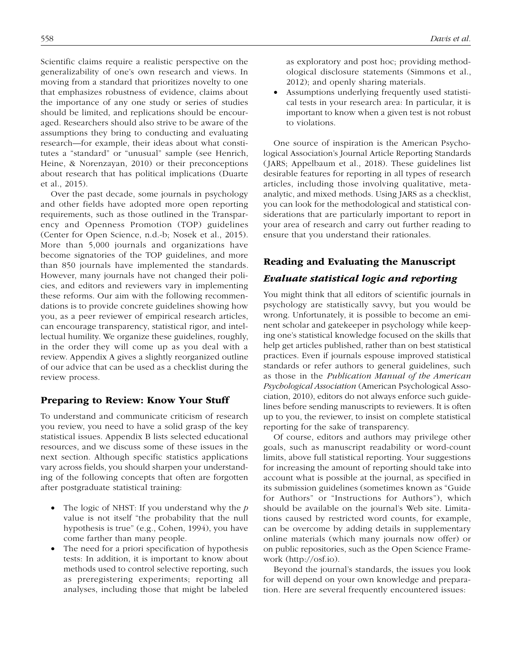Scientific claims require a realistic perspective on the generalizability of one's own research and views. In moving from a standard that prioritizes novelty to one that emphasizes robustness of evidence, claims about the importance of any one study or series of studies should be limited, and replications should be encouraged. Researchers should also strive to be aware of the assumptions they bring to conducting and evaluating research—for example, their ideas about what constitutes a "standard" or "unusual" sample (see Henrich, Heine, & Norenzayan, 2010) or their preconceptions about research that has political implications (Duarte et al., 2015).

Over the past decade, some journals in psychology and other fields have adopted more open reporting requirements, such as those outlined in the Transparency and Openness Promotion (TOP) guidelines (Center for Open Science, n.d.-b; Nosek et al., 2015). More than 5,000 journals and organizations have become signatories of the TOP guidelines, and more than 850 journals have implemented the standards. However, many journals have not changed their policies, and editors and reviewers vary in implementing these reforms. Our aim with the following recommendations is to provide concrete guidelines showing how you, as a peer reviewer of empirical research articles, can encourage transparency, statistical rigor, and intellectual humility. We organize these guidelines, roughly, in the order they will come up as you deal with a review. Appendix A gives a slightly reorganized outline of our advice that can be used as a checklist during the review process.

#### Preparing to Review: Know Your Stuff

To understand and communicate criticism of research you review, you need to have a solid grasp of the key statistical issues. Appendix B lists selected educational resources, and we discuss some of these issues in the next section. Although specific statistics applications vary across fields, you should sharpen your understanding of the following concepts that often are forgotten after postgraduate statistical training:

- The logic of NHST: If you understand why the *p* value is not itself "the probability that the null hypothesis is true" (e.g., Cohen, 1994), you have come farther than many people.
- The need for a priori specification of hypothesis tests: In addition, it is important to know about methods used to control selective reporting, such as preregistering experiments; reporting all analyses, including those that might be labeled

as exploratory and post hoc; providing methodological disclosure statements (Simmons et al., 2012); and openly sharing materials.

• Assumptions underlying frequently used statistical tests in your research area: In particular, it is important to know when a given test is not robust to violations.

One source of inspiration is the American Psychological Association's Journal Article Reporting Standards (JARS; Appelbaum et al., 2018). These guidelines list desirable features for reporting in all types of research articles, including those involving qualitative, metaanalytic, and mixed methods. Using JARS as a checklist, you can look for the methodological and statistical considerations that are particularly important to report in your area of research and carry out further reading to ensure that you understand their rationales.

## Reading and Evaluating the Manuscript

## *Evaluate statistical logic and reporting*

You might think that all editors of scientific journals in psychology are statistically savvy, but you would be wrong. Unfortunately, it is possible to become an eminent scholar and gatekeeper in psychology while keeping one's statistical knowledge focused on the skills that help get articles published, rather than on best statistical practices. Even if journals espouse improved statistical standards or refer authors to general guidelines, such as those in the *Publication Manual of the American Psychological Association* (American Psychological Association, 2010), editors do not always enforce such guidelines before sending manuscripts to reviewers. It is often up to you, the reviewer, to insist on complete statistical reporting for the sake of transparency.

Of course, editors and authors may privilege other goals, such as manuscript readability or word-count limits, above full statistical reporting. Your suggestions for increasing the amount of reporting should take into account what is possible at the journal, as specified in its submission guidelines (sometimes known as "Guide for Authors" or "Instructions for Authors"), which should be available on the journal's Web site. Limitations caused by restricted word counts, for example, can be overcome by adding details in supplementary online materials (which many journals now offer) or on public repositories, such as the Open Science Framework (http://osf.io).

Beyond the journal's standards, the issues you look for will depend on your own knowledge and preparation. Here are several frequently encountered issues: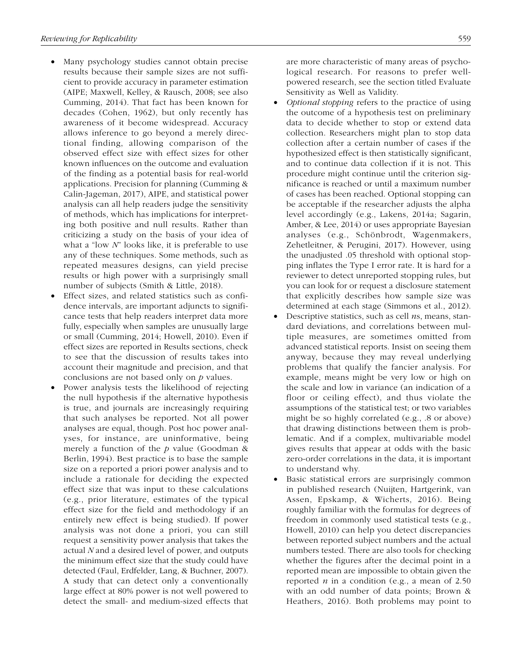- Many psychology studies cannot obtain precise results because their sample sizes are not sufficient to provide accuracy in parameter estimation (AIPE; Maxwell, Kelley, & Rausch, 2008; see also Cumming, 2014). That fact has been known for decades (Cohen, 1962), but only recently has awareness of it become widespread. Accuracy allows inference to go beyond a merely directional finding, allowing comparison of the observed effect size with effect sizes for other known influences on the outcome and evaluation of the finding as a potential basis for real-world applications. Precision for planning (Cumming & Calin-Jageman, 2017), AIPE, and statistical power analysis can all help readers judge the sensitivity of methods, which has implications for interpreting both positive and null results. Rather than criticizing a study on the basis of your idea of what a "low N" looks like, it is preferable to use any of these techniques. Some methods, such as repeated measures designs, can yield precise results or high power with a surprisingly small number of subjects (Smith & Little, 2018).
- Effect sizes, and related statistics such as confidence intervals, are important adjuncts to significance tests that help readers interpret data more fully, especially when samples are unusually large or small (Cumming, 2014; Howell, 2010). Even if effect sizes are reported in Results sections, check to see that the discussion of results takes into account their magnitude and precision, and that conclusions are not based only on *p* values.
- Power analysis tests the likelihood of rejecting the null hypothesis if the alternative hypothesis is true, and journals are increasingly requiring that such analyses be reported. Not all power analyses are equal, though. Post hoc power analyses, for instance, are uninformative, being merely a function of the *p* value (Goodman & Berlin, 1994). Best practice is to base the sample size on a reported a priori power analysis and to include a rationale for deciding the expected effect size that was input to these calculations (e.g., prior literature, estimates of the typical effect size for the field and methodology if an entirely new effect is being studied). If power analysis was not done a priori, you can still request a sensitivity power analysis that takes the actual *N* and a desired level of power, and outputs the minimum effect size that the study could have detected (Faul, Erdfelder, Lang, & Buchner, 2007). A study that can detect only a conventionally large effect at 80% power is not well powered to detect the small- and medium-sized effects that

are more characteristic of many areas of psychological research. For reasons to prefer wellpowered research, see the section titled Evaluate Sensitivity as Well as Validity.

- *Optional stopping* refers to the practice of using the outcome of a hypothesis test on preliminary data to decide whether to stop or extend data collection. Researchers might plan to stop data collection after a certain number of cases if the hypothesized effect is then statistically significant, and to continue data collection if it is not. This procedure might continue until the criterion significance is reached or until a maximum number of cases has been reached. Optional stopping can be acceptable if the researcher adjusts the alpha level accordingly (e.g., Lakens, 2014a; Sagarin, Amber, & Lee, 2014) or uses appropriate Bayesian analyses (e.g., Schönbrodt, Wagenmakers, Zehetleitner, & Perugini, 2017). However, using the unadjusted .05 threshold with optional stopping inflates the Type I error rate. It is hard for a reviewer to detect unreported stopping rules, but you can look for or request a disclosure statement that explicitly describes how sample size was determined at each stage (Simmons et al., 2012).
- Descriptive statistics, such as cell *n*s, means, standard deviations, and correlations between multiple measures, are sometimes omitted from advanced statistical reports. Insist on seeing them anyway, because they may reveal underlying problems that qualify the fancier analysis. For example, means might be very low or high on the scale and low in variance (an indication of a floor or ceiling effect), and thus violate the assumptions of the statistical test; or two variables might be so highly correlated (e.g., .8 or above) that drawing distinctions between them is problematic. And if a complex, multivariable model gives results that appear at odds with the basic zero-order correlations in the data, it is important to understand why.
- Basic statistical errors are surprisingly common in published research (Nuijten, Hartgerink, van Assen, Epskamp, & Wicherts, 2016). Being roughly familiar with the formulas for degrees of freedom in commonly used statistical tests (e.g., Howell, 2010) can help you detect discrepancies between reported subject numbers and the actual numbers tested. There are also tools for checking whether the figures after the decimal point in a reported mean are impossible to obtain given the reported *n* in a condition (e.g., a mean of 2.50 with an odd number of data points; Brown & Heathers, 2016). Both problems may point to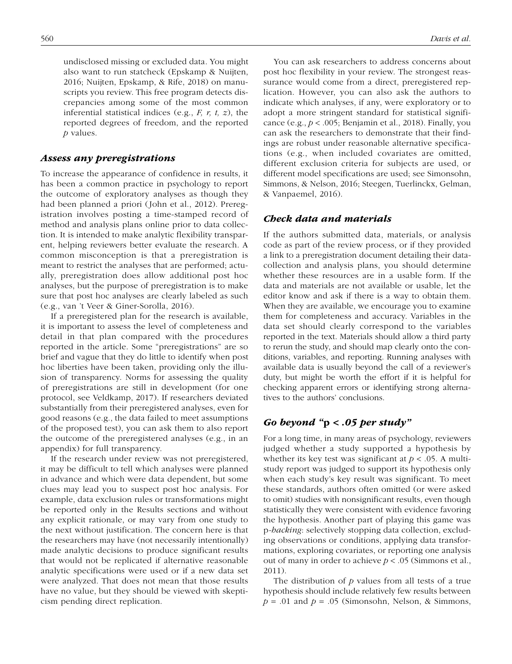undisclosed missing or excluded data. You might also want to run statcheck (Epskamp & Nuijten, 2016; Nuijten, Epskamp, & Rife, 2018) on manuscripts you review. This free program detects discrepancies among some of the most common inferential statistical indices (e.g., *F, r, t, z*), the reported degrees of freedom, and the reported *p* values.

#### *Assess any preregistrations*

To increase the appearance of confidence in results, it has been a common practice in psychology to report the outcome of exploratory analyses as though they had been planned a priori (John et al., 2012). Preregistration involves posting a time-stamped record of method and analysis plans online prior to data collection. It is intended to make analytic flexibility transparent, helping reviewers better evaluate the research. A common misconception is that a preregistration is meant to restrict the analyses that are performed; actually, preregistration does allow additional post hoc analyses, but the purpose of preregistration is to make sure that post hoc analyses are clearly labeled as such (e.g., van 't Veer & Giner-Sorolla, 2016).

If a preregistered plan for the research is available, it is important to assess the level of completeness and detail in that plan compared with the procedures reported in the article. Some "preregistrations" are so brief and vague that they do little to identify when post hoc liberties have been taken, providing only the illusion of transparency. Norms for assessing the quality of preregistrations are still in development (for one protocol, see Veldkamp, 2017). If researchers deviated substantially from their preregistered analyses, even for good reasons (e.g., the data failed to meet assumptions of the proposed test), you can ask them to also report the outcome of the preregistered analyses (e.g., in an appendix) for full transparency.

If the research under review was not preregistered, it may be difficult to tell which analyses were planned in advance and which were data dependent, but some clues may lead you to suspect post hoc analysis. For example, data exclusion rules or transformations might be reported only in the Results sections and without any explicit rationale, or may vary from one study to the next without justification. The concern here is that the researchers may have (not necessarily intentionally) made analytic decisions to produce significant results that would not be replicated if alternative reasonable analytic specifications were used or if a new data set were analyzed. That does not mean that those results have no value, but they should be viewed with skepticism pending direct replication.

You can ask researchers to address concerns about post hoc flexibility in your review. The strongest reassurance would come from a direct, preregistered replication. However, you can also ask the authors to indicate which analyses, if any, were exploratory or to adopt a more stringent standard for statistical significance (e.g., *p* < .005; Benjamin et al., 2018). Finally, you can ask the researchers to demonstrate that their findings are robust under reasonable alternative specifications (e.g., when included covariates are omitted, different exclusion criteria for subjects are used, or different model specifications are used; see Simonsohn, Simmons, & Nelson, 2016; Steegen, Tuerlinckx, Gelman, & Vanpaemel, 2016).

### *Check data and materials*

If the authors submitted data, materials, or analysis code as part of the review process, or if they provided a link to a preregistration document detailing their datacollection and analysis plans, you should determine whether these resources are in a usable form. If the data and materials are not available or usable, let the editor know and ask if there is a way to obtain them. When they are available, we encourage you to examine them for completeness and accuracy. Variables in the data set should clearly correspond to the variables reported in the text. Materials should allow a third party to rerun the study, and should map clearly onto the conditions, variables, and reporting. Running analyses with available data is usually beyond the call of a reviewer's duty, but might be worth the effort if it is helpful for checking apparent errors or identifying strong alternatives to the authors' conclusions.

## *Go beyond "*p *< .05 per study"*

For a long time, in many areas of psychology, reviewers judged whether a study supported a hypothesis by whether its key test was significant at  $p < .05$ . A multistudy report was judged to support its hypothesis only when each study's key result was significant. To meet these standards, authors often omitted (or were asked to omit) studies with nonsignificant results, even though statistically they were consistent with evidence favoring the hypothesis. Another part of playing this game was p*-hacking*: selectively stopping data collection, excluding observations or conditions, applying data transformations, exploring covariates, or reporting one analysis out of many in order to achieve  $p < .05$  (Simmons et al., 2011).

The distribution of *p* values from all tests of a true hypothesis should include relatively few results between  $p = .01$  and  $p = .05$  (Simonsohn, Nelson, & Simmons,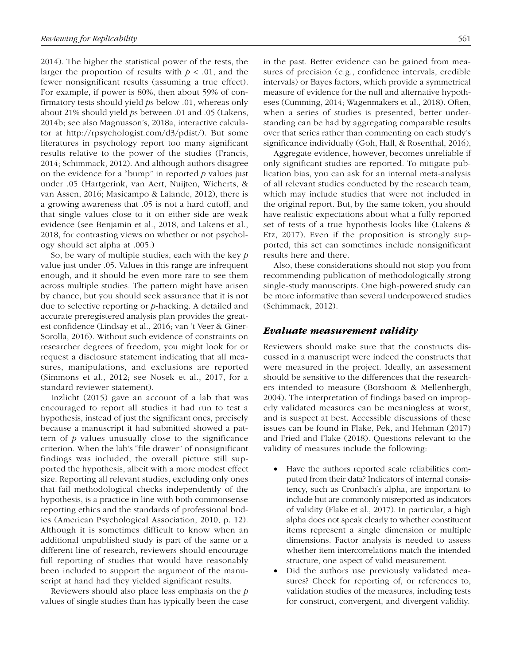2014). The higher the statistical power of the tests, the larger the proportion of results with  $p < .01$ , and the fewer nonsignificant results (assuming a true effect). For example, if power is 80%, then about 59% of confirmatory tests should yield *p*s below .01, whereas only about 21% should yield *p*s between .01 and .05 (Lakens, 2014b; see also Magnusson's, 2018a, interactive calculator at http://rpsychologist.com/d3/pdist/). But some literatures in psychology report too many significant results relative to the power of the studies (Francis, 2014; Schimmack, 2012). And although authors disagree on the evidence for a "bump" in reported *p* values just under .05 (Hartgerink, van Aert, Nuijten, Wicherts, & van Assen, 2016; Masicampo & Lalande, 2012), there is a growing awareness that .05 is not a hard cutoff, and that single values close to it on either side are weak evidence (see Benjamin et al., 2018, and Lakens et al., 2018, for contrasting views on whether or not psychology should set alpha at .005.)

So, be wary of multiple studies, each with the key *p* value just under .05. Values in this range are infrequent enough, and it should be even more rare to see them across multiple studies. The pattern might have arisen by chance, but you should seek assurance that it is not due to selective reporting or *p*-hacking. A detailed and accurate preregistered analysis plan provides the greatest confidence (Lindsay et al., 2016; van 't Veer & Giner-Sorolla, 2016). Without such evidence of constraints on researcher degrees of freedom, you might look for or request a disclosure statement indicating that all measures, manipulations, and exclusions are reported (Simmons et al., 2012; see Nosek et al., 2017, for a standard reviewer statement).

Inzlicht (2015) gave an account of a lab that was encouraged to report all studies it had run to test a hypothesis, instead of just the significant ones, precisely because a manuscript it had submitted showed a pattern of *p* values unusually close to the significance criterion. When the lab's "file drawer" of nonsignificant findings was included, the overall picture still supported the hypothesis, albeit with a more modest effect size. Reporting all relevant studies, excluding only ones that fail methodological checks independently of the hypothesis, is a practice in line with both commonsense reporting ethics and the standards of professional bodies (American Psychological Association, 2010, p. 12). Although it is sometimes difficult to know when an additional unpublished study is part of the same or a different line of research, reviewers should encourage full reporting of studies that would have reasonably been included to support the argument of the manuscript at hand had they yielded significant results.

Reviewers should also place less emphasis on the *p* values of single studies than has typically been the case in the past. Better evidence can be gained from measures of precision (e.g., confidence intervals, credible intervals) or Bayes factors, which provide a symmetrical measure of evidence for the null and alternative hypotheses (Cumming, 2014; Wagenmakers et al., 2018). Often, when a series of studies is presented, better understanding can be had by aggregating comparable results over that series rather than commenting on each study's significance individually (Goh, Hall, & Rosenthal, 2016),

Aggregate evidence, however, becomes unreliable if only significant studies are reported. To mitigate publication bias, you can ask for an internal meta-analysis of all relevant studies conducted by the research team, which may include studies that were not included in the original report. But, by the same token, you should have realistic expectations about what a fully reported set of tests of a true hypothesis looks like (Lakens & Etz, 2017). Even if the proposition is strongly supported, this set can sometimes include nonsignificant results here and there.

Also, these considerations should not stop you from recommending publication of methodologically strong single-study manuscripts. One high-powered study can be more informative than several underpowered studies (Schimmack, 2012).

#### *Evaluate measurement validity*

Reviewers should make sure that the constructs discussed in a manuscript were indeed the constructs that were measured in the project. Ideally, an assessment should be sensitive to the differences that the researchers intended to measure (Borsboom & Mellenbergh, 2004). The interpretation of findings based on improperly validated measures can be meaningless at worst, and is suspect at best. Accessible discussions of these issues can be found in Flake, Pek, and Hehman (2017) and Fried and Flake (2018). Questions relevant to the validity of measures include the following:

- Have the authors reported scale reliabilities computed from their data? Indicators of internal consistency, such as Cronbach's alpha, are important to include but are commonly misreported as indicators of validity (Flake et al., 2017). In particular, a high alpha does not speak clearly to whether constituent items represent a single dimension or multiple dimensions. Factor analysis is needed to assess whether item intercorrelations match the intended structure, one aspect of valid measurement.
- Did the authors use previously validated measures? Check for reporting of, or references to, validation studies of the measures, including tests for construct, convergent, and divergent validity.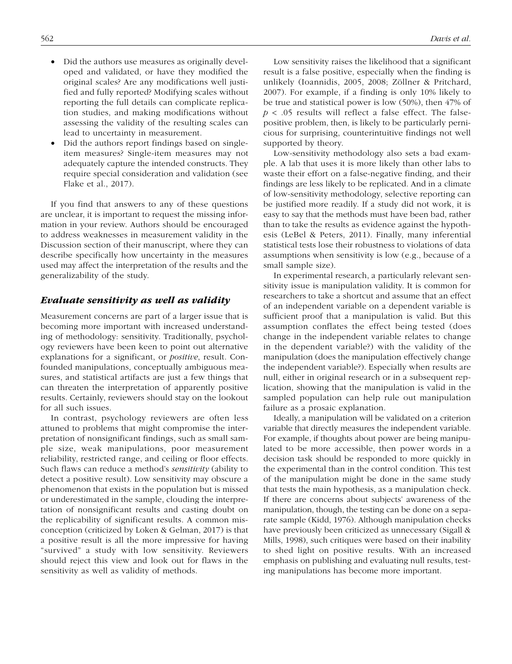- Did the authors use measures as originally developed and validated, or have they modified the original scales? Are any modifications well justified and fully reported? Modifying scales without reporting the full details can complicate replication studies, and making modifications without assessing the validity of the resulting scales can lead to uncertainty in measurement.
- Did the authors report findings based on singleitem measures? Single-item measures may not adequately capture the intended constructs. They require special consideration and validation (see Flake et al., 2017).

If you find that answers to any of these questions are unclear, it is important to request the missing information in your review. Authors should be encouraged to address weaknesses in measurement validity in the Discussion section of their manuscript, where they can describe specifically how uncertainty in the measures used may affect the interpretation of the results and the generalizability of the study.

#### *Evaluate sensitivity as well as validity*

Measurement concerns are part of a larger issue that is becoming more important with increased understanding of methodology: sensitivity. Traditionally, psychology reviewers have been keen to point out alternative explanations for a significant, or *positive*, result. Confounded manipulations, conceptually ambiguous measures, and statistical artifacts are just a few things that can threaten the interpretation of apparently positive results. Certainly, reviewers should stay on the lookout for all such issues.

In contrast, psychology reviewers are often less attuned to problems that might compromise the interpretation of nonsignificant findings, such as small sample size, weak manipulations, poor measurement reliability, restricted range, and ceiling or floor effects. Such flaws can reduce a method's *sensitivity* (ability to detect a positive result). Low sensitivity may obscure a phenomenon that exists in the population but is missed or underestimated in the sample, clouding the interpretation of nonsignificant results and casting doubt on the replicability of significant results. A common misconception (criticized by Loken & Gelman, 2017) is that a positive result is all the more impressive for having "survived" a study with low sensitivity. Reviewers should reject this view and look out for flaws in the sensitivity as well as validity of methods.

Low sensitivity raises the likelihood that a significant result is a false positive, especially when the finding is unlikely (Ioannidis, 2005, 2008; Zöllner & Pritchard, 2007). For example, if a finding is only 10% likely to be true and statistical power is low (50%), then 47% of *p* < .05 results will reflect a false effect. The falsepositive problem, then, is likely to be particularly pernicious for surprising, counterintuitive findings not well supported by theory.

Low-sensitivity methodology also sets a bad example. A lab that uses it is more likely than other labs to waste their effort on a false-negative finding, and their findings are less likely to be replicated. And in a climate of low-sensitivity methodology, selective reporting can be justified more readily. If a study did not work, it is easy to say that the methods must have been bad, rather than to take the results as evidence against the hypothesis (LeBel & Peters, 2011). Finally, many inferential statistical tests lose their robustness to violations of data assumptions when sensitivity is low (e.g., because of a small sample size).

In experimental research, a particularly relevant sensitivity issue is manipulation validity. It is common for researchers to take a shortcut and assume that an effect of an independent variable on a dependent variable is sufficient proof that a manipulation is valid. But this assumption conflates the effect being tested (does change in the independent variable relates to change in the dependent variable?) with the validity of the manipulation (does the manipulation effectively change the independent variable?). Especially when results are null, either in original research or in a subsequent replication, showing that the manipulation is valid in the sampled population can help rule out manipulation failure as a prosaic explanation.

Ideally, a manipulation will be validated on a criterion variable that directly measures the independent variable. For example, if thoughts about power are being manipulated to be more accessible, then power words in a decision task should be responded to more quickly in the experimental than in the control condition. This test of the manipulation might be done in the same study that tests the main hypothesis, as a manipulation check. If there are concerns about subjects' awareness of the manipulation, though, the testing can be done on a separate sample (Kidd, 1976). Although manipulation checks have previously been criticized as unnecessary (Sigall & Mills, 1998), such critiques were based on their inability to shed light on positive results. With an increased emphasis on publishing and evaluating null results, testing manipulations has become more important.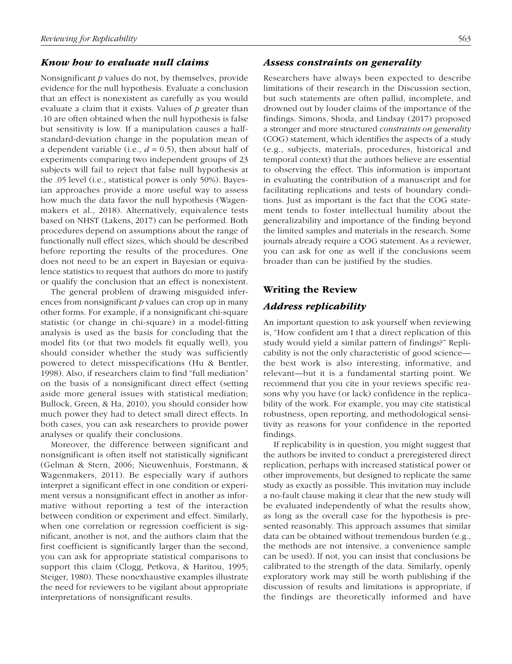#### *Know how to evaluate null claims*

Nonsignificant *p* values do not, by themselves, provide evidence for the null hypothesis. Evaluate a conclusion that an effect is nonexistent as carefully as you would evaluate a claim that it exists. Values of *p* greater than .10 are often obtained when the null hypothesis is false but sensitivity is low. If a manipulation causes a halfstandard-deviation change in the population mean of a dependent variable (i.e.,  $d = 0.5$ ), then about half of experiments comparing two independent groups of 23 subjects will fail to reject that false null hypothesis at the .05 level (i.e., statistical power is only 50%). Bayesian approaches provide a more useful way to assess how much the data favor the null hypothesis (Wagenmakers et al., 2018). Alternatively, equivalence tests based on NHST (Lakens, 2017) can be performed. Both procedures depend on assumptions about the range of functionally null effect sizes, which should be described before reporting the results of the procedures. One does not need to be an expert in Bayesian or equivalence statistics to request that authors do more to justify or qualify the conclusion that an effect is nonexistent.

The general problem of drawing misguided inferences from nonsignificant *p* values can crop up in many other forms. For example, if a nonsignificant chi-square statistic (or change in chi-square) in a model-fitting analysis is used as the basis for concluding that the model fits (or that two models fit equally well), you should consider whether the study was sufficiently powered to detect misspecifications (Hu & Bentler, 1998). Also, if researchers claim to find "full mediation" on the basis of a nonsignificant direct effect (setting aside more general issues with statistical mediation; Bullock, Green, & Ha, 2010), you should consider how much power they had to detect small direct effects. In both cases, you can ask researchers to provide power analyses or qualify their conclusions.

Moreover, the difference between significant and nonsignificant is often itself not statistically significant (Gelman & Stern, 2006; Nieuwenhuis, Forstmann, & Wagenmakers, 2011). Be especially wary if authors interpret a significant effect in one condition or experiment versus a nonsignificant effect in another as informative without reporting a test of the interaction between condition or experiment and effect. Similarly, when one correlation or regression coefficient is significant, another is not, and the authors claim that the first coefficient is significantly larger than the second, you can ask for appropriate statistical comparisons to support this claim (Clogg, Petkova, & Haritou, 1995; Steiger, 1980). These nonexhaustive examples illustrate the need for reviewers to be vigilant about appropriate interpretations of nonsignificant results.

#### *Assess constraints on generality*

Researchers have always been expected to describe limitations of their research in the Discussion section, but such statements are often pallid, incomplete, and drowned out by louder claims of the importance of the findings. Simons, Shoda, and Lindsay (2017) proposed a stronger and more structured *constraints on generality* (COG) statement, which identifies the aspects of a study (e.g., subjects, materials, procedures, historical and temporal context) that the authors believe are essential to observing the effect. This information is important in evaluating the contribution of a manuscript and for facilitating replications and tests of boundary conditions. Just as important is the fact that the COG statement tends to foster intellectual humility about the generalizability and importance of the finding beyond the limited samples and materials in the research. Some journals already require a COG statement. As a reviewer, you can ask for one as well if the conclusions seem broader than can be justified by the studies.

#### Writing the Review

#### *Address replicability*

An important question to ask yourself when reviewing is, "How confident am I that a direct replication of this study would yield a similar pattern of findings?" Replicability is not the only characteristic of good science the best work is also interesting, informative, and relevant—but it is a fundamental starting point. We recommend that you cite in your reviews specific reasons why you have (or lack) confidence in the replicability of the work. For example, you may cite statistical robustness, open reporting, and methodological sensitivity as reasons for your confidence in the reported findings.

If replicability is in question, you might suggest that the authors be invited to conduct a preregistered direct replication, perhaps with increased statistical power or other improvements, but designed to replicate the same study as exactly as possible. This invitation may include a no-fault clause making it clear that the new study will be evaluated independently of what the results show, as long as the overall case for the hypothesis is presented reasonably. This approach assumes that similar data can be obtained without tremendous burden (e.g., the methods are not intensive, a convenience sample can be used). If not, you can insist that conclusions be calibrated to the strength of the data. Similarly, openly exploratory work may still be worth publishing if the discussion of results and limitations is appropriate, if the findings are theoretically informed and have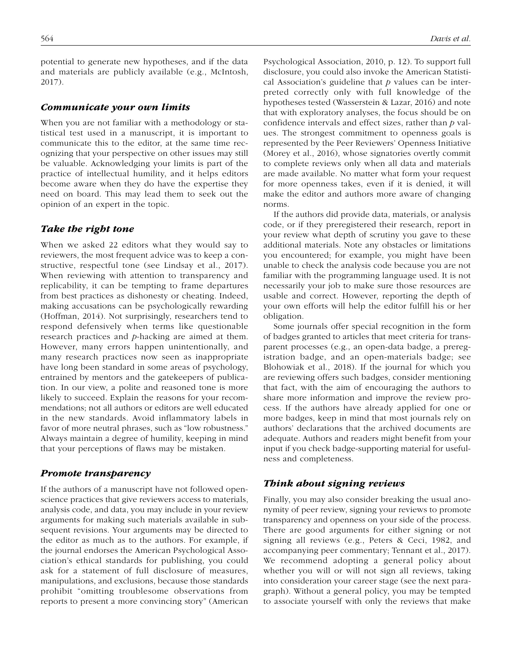potential to generate new hypotheses, and if the data and materials are publicly available (e.g., McIntosh, 2017).

#### *Communicate your own limits*

When you are not familiar with a methodology or statistical test used in a manuscript, it is important to communicate this to the editor, at the same time recognizing that your perspective on other issues may still be valuable. Acknowledging your limits is part of the practice of intellectual humility, and it helps editors become aware when they do have the expertise they need on board. This may lead them to seek out the opinion of an expert in the topic.

#### *Take the right tone*

When we asked 22 editors what they would say to reviewers, the most frequent advice was to keep a constructive, respectful tone (see Lindsay et al., 2017). When reviewing with attention to transparency and replicability, it can be tempting to frame departures from best practices as dishonesty or cheating. Indeed, making accusations can be psychologically rewarding (Hoffman, 2014). Not surprisingly, researchers tend to respond defensively when terms like questionable research practices and *p*-hacking are aimed at them. However, many errors happen unintentionally, and many research practices now seen as inappropriate have long been standard in some areas of psychology, entrained by mentors and the gatekeepers of publication. In our view, a polite and reasoned tone is more likely to succeed. Explain the reasons for your recommendations; not all authors or editors are well educated in the new standards. Avoid inflammatory labels in favor of more neutral phrases, such as "low robustness." Always maintain a degree of humility, keeping in mind that your perceptions of flaws may be mistaken.

#### *Promote transparency*

If the authors of a manuscript have not followed openscience practices that give reviewers access to materials, analysis code, and data, you may include in your review arguments for making such materials available in subsequent revisions. Your arguments may be directed to the editor as much as to the authors. For example, if the journal endorses the American Psychological Association's ethical standards for publishing, you could ask for a statement of full disclosure of measures, manipulations, and exclusions, because those standards prohibit "omitting troublesome observations from reports to present a more convincing story" (American Psychological Association, 2010, p. 12). To support full disclosure, you could also invoke the American Statistical Association's guideline that *p* values can be interpreted correctly only with full knowledge of the hypotheses tested (Wasserstein & Lazar, 2016) and note that with exploratory analyses, the focus should be on confidence intervals and effect sizes, rather than *p* values. The strongest commitment to openness goals is represented by the Peer Reviewers' Openness Initiative (Morey et al., 2016), whose signatories overtly commit to complete reviews only when all data and materials are made available. No matter what form your request for more openness takes, even if it is denied, it will make the editor and authors more aware of changing norms.

If the authors did provide data, materials, or analysis code, or if they preregistered their research, report in your review what depth of scrutiny you gave to these additional materials. Note any obstacles or limitations you encountered; for example, you might have been unable to check the analysis code because you are not familiar with the programming language used. It is not necessarily your job to make sure those resources are usable and correct. However, reporting the depth of your own efforts will help the editor fulfill his or her obligation.

Some journals offer special recognition in the form of badges granted to articles that meet criteria for transparent processes (e.g., an open-data badge, a preregistration badge, and an open-materials badge; see Blohowiak et al., 2018). If the journal for which you are reviewing offers such badges, consider mentioning that fact, with the aim of encouraging the authors to share more information and improve the review process. If the authors have already applied for one or more badges, keep in mind that most journals rely on authors' declarations that the archived documents are adequate. Authors and readers might benefit from your input if you check badge-supporting material for usefulness and completeness.

## *Think about signing reviews*

Finally, you may also consider breaking the usual anonymity of peer review, signing your reviews to promote transparency and openness on your side of the process. There are good arguments for either signing or not signing all reviews (e.g., Peters & Ceci, 1982, and accompanying peer commentary; Tennant et al., 2017). We recommend adopting a general policy about whether you will or will not sign all reviews, taking into consideration your career stage (see the next paragraph). Without a general policy, you may be tempted to associate yourself with only the reviews that make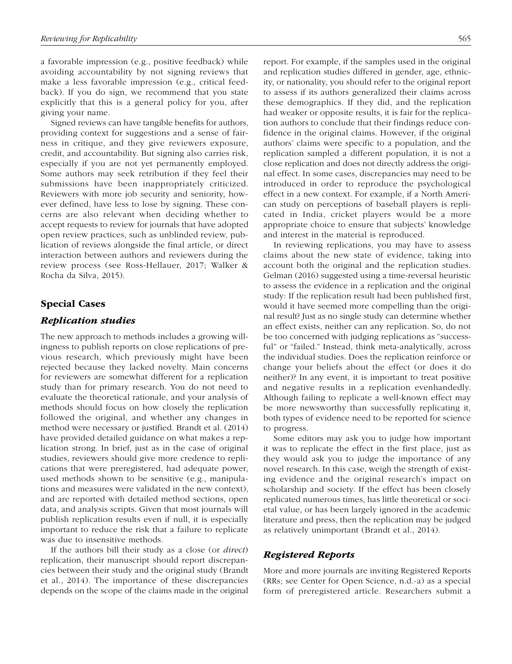a favorable impression (e.g., positive feedback) while avoiding accountability by not signing reviews that make a less favorable impression (e.g., critical feedback). If you do sign, we recommend that you state explicitly that this is a general policy for you, after giving your name.

Signed reviews can have tangible benefits for authors, providing context for suggestions and a sense of fairness in critique, and they give reviewers exposure, credit, and accountability. But signing also carries risk, especially if you are not yet permanently employed. Some authors may seek retribution if they feel their submissions have been inappropriately criticized. Reviewers with more job security and seniority, however defined, have less to lose by signing. These concerns are also relevant when deciding whether to accept requests to review for journals that have adopted open review practices, such as unblinded review, publication of reviews alongside the final article, or direct interaction between authors and reviewers during the review process (see Ross-Hellauer, 2017; Walker & Rocha da Silva, 2015).

#### Special Cases

#### *Replication studies*

The new approach to methods includes a growing willingness to publish reports on close replications of previous research, which previously might have been rejected because they lacked novelty. Main concerns for reviewers are somewhat different for a replication study than for primary research. You do not need to evaluate the theoretical rationale, and your analysis of methods should focus on how closely the replication followed the original, and whether any changes in method were necessary or justified. Brandt et al. (2014) have provided detailed guidance on what makes a replication strong. In brief, just as in the case of original studies, reviewers should give more credence to replications that were preregistered, had adequate power, used methods shown to be sensitive (e.g., manipulations and measures were validated in the new context), and are reported with detailed method sections, open data, and analysis scripts. Given that most journals will publish replication results even if null, it is especially important to reduce the risk that a failure to replicate was due to insensitive methods.

If the authors bill their study as a close (or *direct*) replication, their manuscript should report discrepancies between their study and the original study (Brandt et al., 2014). The importance of these discrepancies depends on the scope of the claims made in the original report. For example, if the samples used in the original and replication studies differed in gender, age, ethnicity, or nationality, you should refer to the original report to assess if its authors generalized their claims across these demographics. If they did, and the replication had weaker or opposite results, it is fair for the replication authors to conclude that their findings reduce confidence in the original claims. However, if the original authors' claims were specific to a population, and the replication sampled a different population, it is not a close replication and does not directly address the original effect. In some cases, discrepancies may need to be introduced in order to reproduce the psychological effect in a new context. For example, if a North American study on perceptions of baseball players is replicated in India, cricket players would be a more appropriate choice to ensure that subjects' knowledge and interest in the material is reproduced.

In reviewing replications, you may have to assess claims about the new state of evidence, taking into account both the original and the replication studies. Gelman (2016) suggested using a time-reversal heuristic to assess the evidence in a replication and the original study: If the replication result had been published first, would it have seemed more compelling than the original result? Just as no single study can determine whether an effect exists, neither can any replication. So, do not be too concerned with judging replications as "successful" or "failed." Instead, think meta-analytically, across the individual studies. Does the replication reinforce or change your beliefs about the effect (or does it do neither)? In any event, it is important to treat positive and negative results in a replication evenhandedly. Although failing to replicate a well-known effect may be more newsworthy than successfully replicating it, both types of evidence need to be reported for science to progress.

Some editors may ask you to judge how important it was to replicate the effect in the first place, just as they would ask you to judge the importance of any novel research. In this case, weigh the strength of existing evidence and the original research's impact on scholarship and society. If the effect has been closely replicated numerous times, has little theoretical or societal value, or has been largely ignored in the academic literature and press, then the replication may be judged as relatively unimportant (Brandt et al., 2014).

#### *Registered Reports*

More and more journals are inviting Registered Reports (RRs; see Center for Open Science, n.d.-a) as a special form of preregistered article. Researchers submit a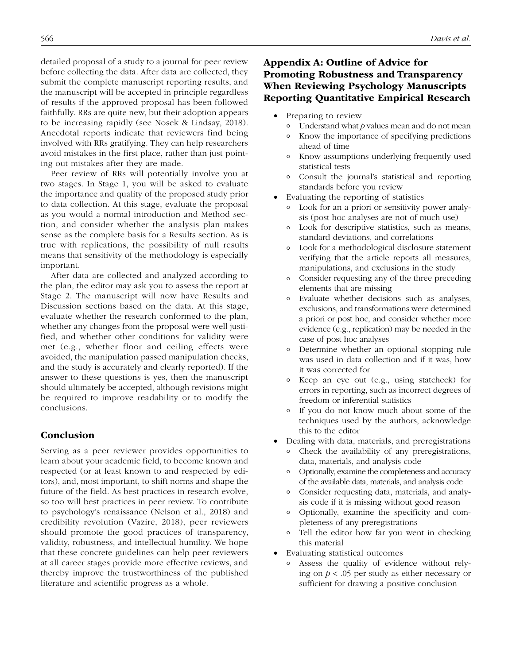detailed proposal of a study to a journal for peer review before collecting the data. After data are collected, they submit the complete manuscript reporting results, and the manuscript will be accepted in principle regardless of results if the approved proposal has been followed faithfully. RRs are quite new, but their adoption appears to be increasing rapidly (see Nosek & Lindsay, 2018). Anecdotal reports indicate that reviewers find being involved with RRs gratifying. They can help researchers avoid mistakes in the first place, rather than just pointing out mistakes after they are made.

Peer review of RRs will potentially involve you at two stages. In Stage 1, you will be asked to evaluate the importance and quality of the proposed study prior to data collection. At this stage, evaluate the proposal as you would a normal introduction and Method section, and consider whether the analysis plan makes sense as the complete basis for a Results section. As is true with replications, the possibility of null results means that sensitivity of the methodology is especially important.

After data are collected and analyzed according to the plan, the editor may ask you to assess the report at Stage 2. The manuscript will now have Results and Discussion sections based on the data. At this stage, evaluate whether the research conformed to the plan, whether any changes from the proposal were well justified, and whether other conditions for validity were met (e.g., whether floor and ceiling effects were avoided, the manipulation passed manipulation checks, and the study is accurately and clearly reported). If the answer to these questions is yes, then the manuscript should ultimately be accepted, although revisions might be required to improve readability or to modify the conclusions.

## Conclusion

Serving as a peer reviewer provides opportunities to learn about your academic field, to become known and respected (or at least known to and respected by editors), and, most important, to shift norms and shape the future of the field. As best practices in research evolve, so too will best practices in peer review. To contribute to psychology's renaissance (Nelson et al., 2018) and credibility revolution (Vazire, 2018), peer reviewers should promote the good practices of transparency, validity, robustness, and intellectual humility. We hope that these concrete guidelines can help peer reviewers at all career stages provide more effective reviews, and thereby improve the trustworthiness of the published literature and scientific progress as a whole.

## Appendix A: Outline of Advice for Promoting Robustness and Transparency When Reviewing Psychology Manuscripts Reporting Quantitative Empirical Research

- Preparing to review
	- <sup>|</sup> Understand what *p* values mean and do not mean
	- <sup>|</sup> Know the importance of specifying predictions ahead of time
	- <sup>|</sup> Know assumptions underlying frequently used statistical tests
	- <sup>|</sup> Consult the journal's statistical and reporting standards before you review
- Evaluating the reporting of statistics
	- <sup>|</sup> Look for an a priori or sensitivity power analysis (post hoc analyses are not of much use)
	- <sup>|</sup> Look for descriptive statistics, such as means, standard deviations, and correlations
	- <sup>|</sup> Look for a methodological disclosure statement verifying that the article reports all measures, manipulations, and exclusions in the study
	- <sup>|</sup> Consider requesting any of the three preceding elements that are missing
	- <sup>|</sup> Evaluate whether decisions such as analyses, exclusions, and transformations were determined a priori or post hoc, and consider whether more evidence (e.g., replication) may be needed in the case of post hoc analyses
	- <sup>|</sup> Determine whether an optional stopping rule was used in data collection and if it was, how it was corrected for
	- <sup>|</sup> Keep an eye out (e.g., using statcheck) for errors in reporting, such as incorrect degrees of freedom or inferential statistics
	- <sup>|</sup> If you do not know much about some of the techniques used by the authors, acknowledge this to the editor
- Dealing with data, materials, and preregistrations
	- <sup>|</sup> Check the availability of any preregistrations, data, materials, and analysis code
	- <sup>|</sup> Optionally, examine the completeness and accuracy of the available data, materials, and analysis code
	- <sup>|</sup> Consider requesting data, materials, and analysis code if it is missing without good reason
	- <sup>|</sup> Optionally, examine the specificity and completeness of any preregistrations
	- <sup>|</sup> Tell the editor how far you went in checking this material
- Evaluating statistical outcomes
	- <sup>|</sup> Assess the quality of evidence without relying on *p* < .05 per study as either necessary or sufficient for drawing a positive conclusion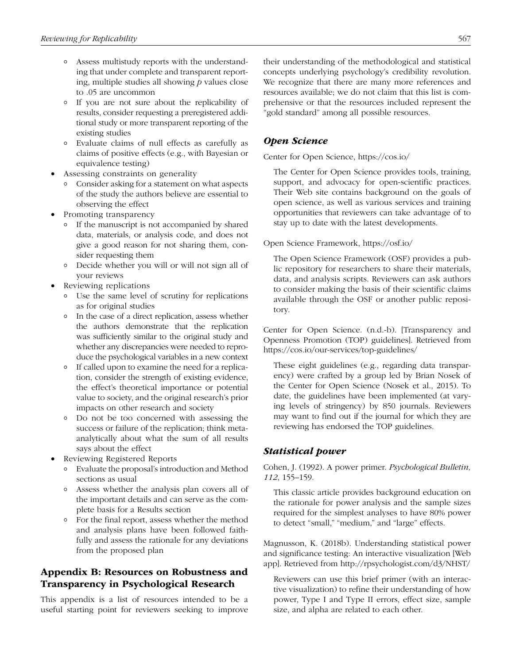- <sup>|</sup> Assess multistudy reports with the understanding that under complete and transparent reporting, multiple studies all showing *p* values close to .05 are uncommon
- <sup>|</sup> If you are not sure about the replicability of results, consider requesting a preregistered additional study or more transparent reporting of the existing studies
- <sup>|</sup> Evaluate claims of null effects as carefully as claims of positive effects (e.g., with Bayesian or equivalence testing)
- Assessing constraints on generality
	- <sup>|</sup> Consider asking for a statement on what aspects of the study the authors believe are essential to observing the effect
- Promoting transparency
	- <sup>|</sup> If the manuscript is not accompanied by shared data, materials, or analysis code, and does not give a good reason for not sharing them, consider requesting them
	- <sup>|</sup> Decide whether you will or will not sign all of your reviews
- Reviewing replications
	- <sup>|</sup> Use the same level of scrutiny for replications as for original studies
	- <sup>|</sup> In the case of a direct replication, assess whether the authors demonstrate that the replication was sufficiently similar to the original study and whether any discrepancies were needed to reproduce the psychological variables in a new context
	- <sup>|</sup> If called upon to examine the need for a replication, consider the strength of existing evidence, the effect's theoretical importance or potential value to society, and the original research's prior impacts on other research and society
	- <sup>|</sup> Do not be too concerned with assessing the success or failure of the replication; think metaanalytically about what the sum of all results says about the effect
- Reviewing Registered Reports
	- <sup>|</sup> Evaluate the proposal's introduction and Method sections as usual
	- <sup>|</sup> Assess whether the analysis plan covers all of the important details and can serve as the complete basis for a Results section
	- <sup>|</sup> For the final report, assess whether the method and analysis plans have been followed faithfully and assess the rationale for any deviations from the proposed plan

## Appendix B: Resources on Robustness and Transparency in Psychological Research

This appendix is a list of resources intended to be a useful starting point for reviewers seeking to improve their understanding of the methodological and statistical concepts underlying psychology's credibility revolution. We recognize that there are many more references and resources available; we do not claim that this list is comprehensive or that the resources included represent the "gold standard" among all possible resources.

## *Open Science*

Center for Open Science, https://cos.io/

The Center for Open Science provides tools, training, support, and advocacy for open-scientific practices. Their Web site contains background on the goals of open science, as well as various services and training opportunities that reviewers can take advantage of to stay up to date with the latest developments.

## Open Science Framework, https://osf.io/

The Open Science Framework (OSF) provides a public repository for researchers to share their materials, data, and analysis scripts. Reviewers can ask authors to consider making the basis of their scientific claims available through the OSF or another public repository.

Center for Open Science. (n.d.-b). [Transparency and Openness Promotion (TOP) guidelines]. Retrieved from https://cos.io/our-services/top-guidelines/

These eight guidelines (e.g., regarding data transparency) were crafted by a group led by Brian Nosek of the Center for Open Science (Nosek et al., 2015). To date, the guidelines have been implemented (at varying levels of stringency) by 850 journals. Reviewers may want to find out if the journal for which they are reviewing has endorsed the TOP guidelines.

## *Statistical power*

Cohen, J. (1992). A power primer. *Psychological Bulletin, 112*, 155–159.

This classic article provides background education on the rationale for power analysis and the sample sizes required for the simplest analyses to have 80% power to detect "small," "medium," and "large" effects.

Magnusson, K. (2018b). Understanding statistical power and significance testing: An interactive visualization [Web app]. Retrieved from http://rpsychologist.com/d3/NHST/

Reviewers can use this brief primer (with an interactive visualization) to refine their understanding of how power, Type I and Type II errors, effect size, sample size, and alpha are related to each other.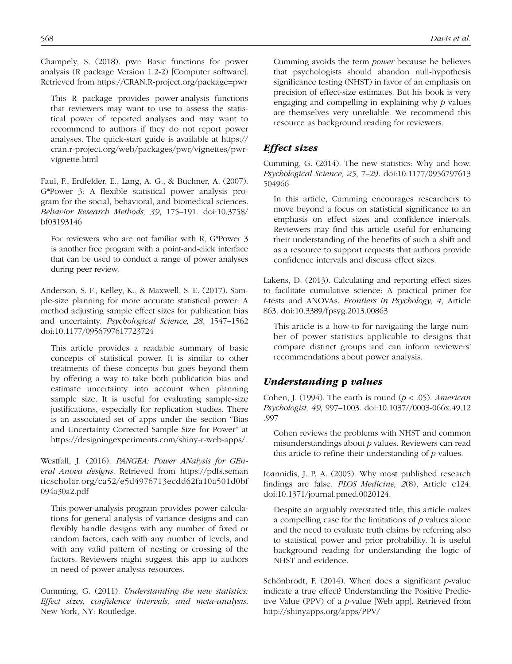Champely, S. (2018). pwr: Basic functions for power analysis (R package Version 1.2-2) [Computer software]. Retrieved from https://CRAN.R-project.org/package=pwr

This R package provides power-analysis functions that reviewers may want to use to assess the statistical power of reported analyses and may want to recommend to authors if they do not report power analyses. The quick-start guide is available at [https://](https://cran.r-project.org/web/packages/pwr/vignettes/pwr-vignette.html) [cran.r-project.org/web/packages/pwr/vignettes/pwr](https://cran.r-project.org/web/packages/pwr/vignettes/pwr-vignette.html)[vignette.html](https://cran.r-project.org/web/packages/pwr/vignettes/pwr-vignette.html)

Faul, F., Erdfelder, E., Lang, A. G., & Buchner, A. (2007). G\*Power 3: A flexible statistical power analysis program for the social, behavioral, and biomedical sciences. *Behavior Research Methods, 39*, 175–191. doi:10.3758/ bf03193146

For reviewers who are not familiar with R, G\*Power 3 is another free program with a point-and-click interface that can be used to conduct a range of power analyses during peer review.

Anderson, S. F., Kelley, K., & Maxwell, S. E. (2017). Sample-size planning for more accurate statistical power: A method adjusting sample effect sizes for publication bias and uncertainty. *Psychological Science, 28*, 1547–1562 doi:10.1177/0956797617723724

This article provides a readable summary of basic concepts of statistical power. It is similar to other treatments of these concepts but goes beyond them by offering a way to take both publication bias and estimate uncertainty into account when planning sample size. It is useful for evaluating sample-size justifications, especially for replication studies. There is an associated set of apps under the section "Bias and Uncertainty Corrected Sample Size for Power" at https://designingexperiments.com/shiny-r-web-apps/.

Westfall, J. (2016). *PANGEA: Power ANalysis for GEneral Anova designs.* Retrieved from [https://pdfs.seman](https://pdfs.semanticscholar.org/ca52/e5d4976713ecdd62fa10a501d0bf094a30a2.pdf) [ticscholar.org/ca52/e5d4976713ecdd62fa10a501d0bf](https://pdfs.semanticscholar.org/ca52/e5d4976713ecdd62fa10a501d0bf094a30a2.pdf) [094a30a2.pdf](https://pdfs.semanticscholar.org/ca52/e5d4976713ecdd62fa10a501d0bf094a30a2.pdf)

This power-analysis program provides power calculations for general analysis of variance designs and can flexibly handle designs with any number of fixed or random factors, each with any number of levels, and with any valid pattern of nesting or crossing of the factors. Reviewers might suggest this app to authors in need of power-analysis resources.

Cumming, G. (2011). *Understanding the new statistics: Effect sizes, confidence intervals, and meta-analysis*. New York, NY: Routledge.

Cumming avoids the term *power* because he believes that psychologists should abandon null-hypothesis significance testing (NHST) in favor of an emphasis on precision of effect-size estimates. But his book is very engaging and compelling in explaining why *p* values are themselves very unreliable. We recommend this resource as background reading for reviewers.

## *Effect sizes*

Cumming, G. (2014). The new statistics: Why and how. *Psychological Science, 25*, 7–29. doi:10.1177/0956797613 504966

In this article, Cumming encourages researchers to move beyond a focus on statistical significance to an emphasis on effect sizes and confidence intervals. Reviewers may find this article useful for enhancing their understanding of the benefits of such a shift and as a resource to support requests that authors provide confidence intervals and discuss effect sizes.

Lakens, D. (2013). Calculating and reporting effect sizes to facilitate cumulative science: A practical primer for *t*-tests and ANOVAs. *Frontiers in Psychology, 4*, Article 863. doi:10.3389/fpsyg.2013.00863

This article is a how-to for navigating the large number of power statistics applicable to designs that compare distinct groups and can inform reviewers' recommendations about power analysis.

#### *Understanding* p *values*

Cohen, J. (1994). The earth is round (*p* < .05). *American Psychologist, 49*, 997–1003. doi:10.1037//0003-066x.49.12 .997

Cohen reviews the problems with NHST and common misunderstandings about *p* values. Reviewers can read this article to refine their understanding of *p* values.

Ioannidis, J. P. A. (2005). Why most published research findings are false. *PLOS Medicine, 2*(8), Article e124. doi:10.1371/journal.pmed.0020124.

Despite an arguably overstated title, this article makes a compelling case for the limitations of *p* values alone and the need to evaluate truth claims by referring also to statistical power and prior probability. It is useful background reading for understanding the logic of NHST and evidence.

Schönbrodt, F. (2014). When does a significant *p*-value indicate a true effect? Understanding the Positive Predictive Value (PPV) of a *p*-value [Web app]. Retrieved from <http://shinyapps.org/apps/PPV/>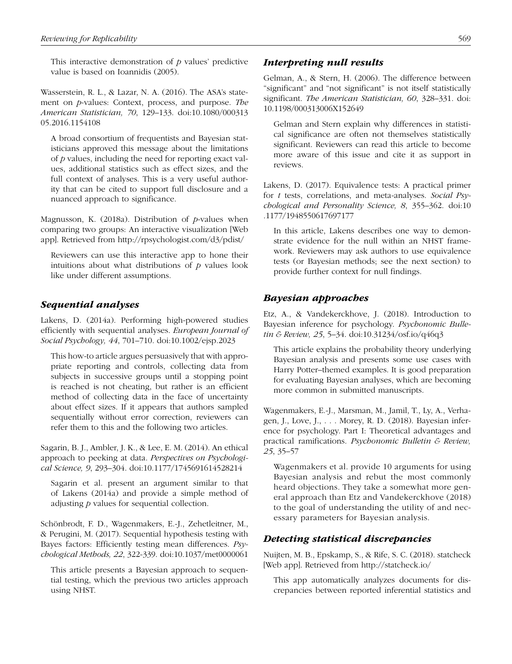This interactive demonstration of *p* values' predictive value is based on Ioannidis (2005).

Wasserstein, R. L., & Lazar, N. A. (2016). The ASA's statement on *p*-values: Context, process, and purpose. *The American Statistician, 70*, 129–133. doi:10.1080/000313 05.2016.1154108

A broad consortium of frequentists and Bayesian statisticians approved this message about the limitations of *p* values, including the need for reporting exact values, additional statistics such as effect sizes, and the full context of analyses. This is a very useful authority that can be cited to support full disclosure and a nuanced approach to significance.

Magnusson, K. (2018a). Distribution of *p*-values when comparing two groups: An interactive visualization [Web app]. Retrieved from http://rpsychologist.com/d3/pdist/

Reviewers can use this interactive app to hone their intuitions about what distributions of *p* values look like under different assumptions.

## *Sequential analyses*

Lakens, D. (2014a). Performing high-powered studies efficiently with sequential analyses. *European Journal of Social Psychology, 44*, 701–710. doi:10.1002/ejsp.2023

This how-to article argues persuasively that with appropriate reporting and controls, collecting data from subjects in successive groups until a stopping point is reached is not cheating, but rather is an efficient method of collecting data in the face of uncertainty about effect sizes. If it appears that authors sampled sequentially without error correction, reviewers can refer them to this and the following two articles.

Sagarin, B. J., Ambler, J. K., & Lee, E. M. (2014). An ethical approach to peeking at data. *Perspectives on Psychological Science, 9*, 293–304. doi:10.1177/1745691614528214

Sagarin et al. present an argument similar to that of Lakens (2014a) and provide a simple method of adjusting *p* values for sequential collection.

Schönbrodt, F. D., Wagenmakers, E.-J., Zehetleitner, M., & Perugini, M. (2017). Sequential hypothesis testing with Bayes factors: Efficiently testing mean differences. *Psychological Methods, 22*, 322-339. doi:10.1037/met0000061

This article presents a Bayesian approach to sequential testing, which the previous two articles approach using NHST.

## *Interpreting null results*

Gelman, A., & Stern, H. (2006). The difference between "significant" and "not significant" is not itself statistically significant. *The American Statistician, 60*, 328–331. doi: 10.1198/000313006X152649

Gelman and Stern explain why differences in statistical significance are often not themselves statistically significant. Reviewers can read this article to become more aware of this issue and cite it as support in reviews.

Lakens, D. (2017). Equivalence tests: A practical primer for *t* tests, correlations, and meta-analyses. *Social Psychological and Personality Science, 8*, 355–362. doi:10 .1177/1948550617697177

In this article, Lakens describes one way to demonstrate evidence for the null within an NHST framework. Reviewers may ask authors to use equivalence tests (or Bayesian methods; see the next section) to provide further context for null findings.

## *Bayesian approaches*

Etz, A., & Vandekerckhove, J. (2018). Introduction to Bayesian inference for psychology. *Psychonomic Bulle tin & Review, 25*, 5–34. doi:10.31234/osf.io/q46q3

This article explains the probability theory underlying Bayesian analysis and presents some use cases with Harry Potter–themed examples. It is good preparation for evaluating Bayesian analyses, which are becoming more common in submitted manuscripts.

Wagenmakers, E.-J., Marsman, M., Jamil, T., Ly, A., Verhagen, J., Love, J., . . . Morey, R. D. (2018). Bayesian inference for psychology. Part I: Theoretical advantages and practical ramifications. *Psychonomic Bulletin & Review, 25*, 35–57

Wagenmakers et al. provide 10 arguments for using Bayesian analysis and rebut the most commonly heard objections. They take a somewhat more general approach than Etz and Vandekerckhove (2018) to the goal of understanding the utility of and necessary parameters for Bayesian analysis.

#### *Detecting statistical discrepancies*

Nuijten, M. B., Epskamp, S., & Rife, S. C. (2018). statcheck [Web app]. Retrieved from http://statcheck.io/

This app automatically analyzes documents for discrepancies between reported inferential statistics and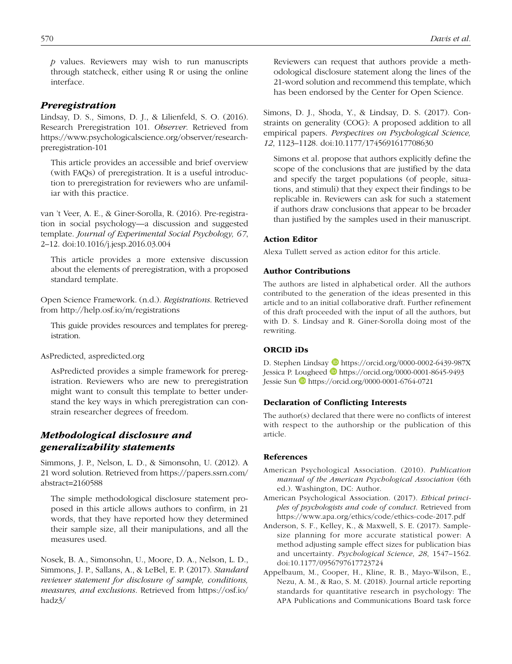*p* values. Reviewers may wish to run manuscripts through statcheck, either using R or using the online interface.

#### *Preregistration*

Lindsay, D. S., Simons, D. J., & Lilienfeld, S. O. (2016). Research Preregistration 101. *Observer*. Retrieved from [https://www.psychologicalscience.org/observer/research](https://www.psychologicalscience.org/observer/research-preregistration-101)[preregistration-101](https://www.psychologicalscience.org/observer/research-preregistration-101)

This article provides an accessible and brief overview (with FAQs) of preregistration. It is a useful introduction to preregistration for reviewers who are unfamiliar with this practice.

van 't Veer, A. E., & Giner-Sorolla, R. (2016). Pre-registration in social psychology—a discussion and suggested template. *Journal of Experimental Social Psychology, 67*, 2–12. doi:10.1016/j.jesp.2016.03.004

This article provides a more extensive discussion about the elements of preregistration, with a proposed standard template.

Open Science Framework. (n.d.). *Registrations*. Retrieved from http://help.osf.io/m/registrations

This guide provides resources and templates for preregistration.

AsPredicted, aspredicted.org

AsPredicted provides a simple framework for preregistration. Reviewers who are new to preregistration might want to consult this template to better understand the key ways in which preregistration can constrain researcher degrees of freedom.

## *Methodological disclosure and generalizability statements*

Simmons, J. P., Nelson, L. D., & Simonsohn, U. (2012). A 21 word solution. Retrieved from [https://papers.ssrn.com/](https://papers.ssrn.com/abstract=2160588) [abstract=2160588](https://papers.ssrn.com/abstract=2160588)

The simple methodological disclosure statement proposed in this article allows authors to confirm, in 21 words, that they have reported how they determined their sample size, all their manipulations, and all the measures used.

Nosek, B. A., Simonsohn, U., Moore, D. A., Nelson, L. D., Simmons, J. P., Sallans, A., & LeBel, E. P. (2017). *Standard reviewer statement for disclosure of sample, conditions, measures, and exclusions*. Retrieved from https://osf.io/ hadz3/

Reviewers can request that authors provide a methodological disclosure statement along the lines of the 21-word solution and recommend this template, which has been endorsed by the Center for Open Science.

Simons, D. J., Shoda, Y., & Lindsay, D. S. (2017). Constraints on generality (COG): A proposed addition to all empirical papers. *Perspectives on Psychological Science, 12*, 1123–1128. doi:10.1177/1745691617708630

Simons et al. propose that authors explicitly define the scope of the conclusions that are justified by the data and specify the target populations (of people, situations, and stimuli) that they expect their findings to be replicable in. Reviewers can ask for such a statement if authors draw conclusions that appear to be broader than justified by the samples used in their manuscript.

#### Action Editor

Alexa Tullett served as action editor for this article.

#### Author Contributions

The authors are listed in alphabetical order. All the authors contributed to the generation of the ideas presented in this article and to an initial collaborative draft. Further refinement of this draft proceeded with the input of all the authors, but with D. S. Lindsay and R. Giner-Sorolla doing most of the rewriting.

#### ORCID iDs

D. Stephen Lindsay Dhttps://orcid.org/0000-0002-6439-987X Jessica P. Lougheed **b** https://orcid.org/0000-0001-8645-9493 Jessie Sun https://orcid.org/0000-0001-6764-0721

#### Declaration of Conflicting Interests

The author(s) declared that there were no conflicts of interest with respect to the authorship or the publication of this article.

#### References

- American Psychological Association. (2010). *Publication manual of the American Psychological Association* (6th ed.). Washington, DC: Author.
- American Psychological Association. (2017). *Ethical principles of psychologists and code of conduct*. Retrieved from https://www.apa.org/ethics/code/ethics-code-2017.pdf
- Anderson, S. F., Kelley, K., & Maxwell, S. E. (2017). Samplesize planning for more accurate statistical power: A method adjusting sample effect sizes for publication bias and uncertainty. *Psychological Science*, *28*, 1547–1562. doi:10.1177/0956797617723724
- Appelbaum, M., Cooper, H., Kline, R. B., Mayo-Wilson, E., Nezu, A. M., & Rao, S. M. (2018). Journal article reporting standards for quantitative research in psychology: The APA Publications and Communications Board task force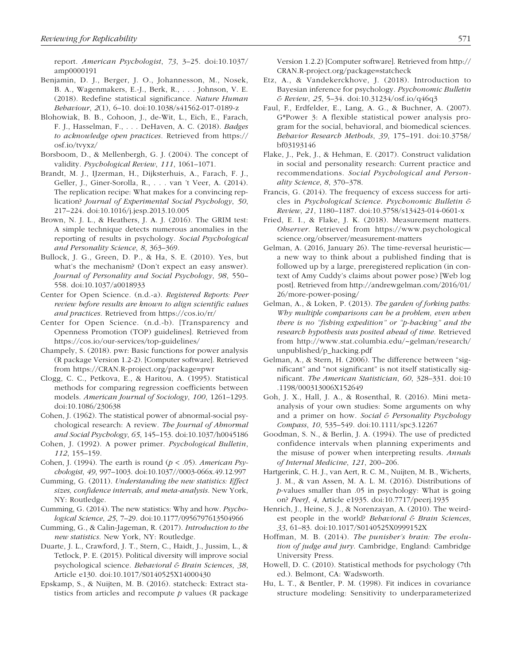report. *American Psychologist*, *73*, 3–25. doi:10.1037/ amp0000191

- Benjamin, D. J., Berger, J. O., Johannesson, M., Nosek, B. A., Wagenmakers, E.-J., Berk, R., . . . Johnson, V. E. (2018). Redefine statistical significance. *Nature Human Behaviour*, *2*(1), 6–10. doi:10.1038/s41562-017-0189-z
- Blohowiak, B. B., Cohoon, J., de-Wit, L., Eich, E., Farach, F. J., Hasselman, F., . . . DeHaven, A. C. (2018). *Badges to acknowledge open practices*. Retrieved from https:// osf.io/tvyxz/
- Borsboom, D., & Mellenbergh, G. J. (2004). The concept of validity. *Psychological Review*, *111*, 1061–1071.
- Brandt, M. J., IJzerman, H., Dijksterhuis, A., Farach, F. J., Geller, J., Giner-Sorolla, R., . . . van 't Veer, A. (2014). The replication recipe: What makes for a convincing replication? *Journal of Experimental Social Psychology*, *50*, 217–224. doi:10.1016/j.jesp.2013.10.005
- Brown, N. J. L., & Heathers, J. A. J. (2016). The GRIM test: A simple technique detects numerous anomalies in the reporting of results in psychology. *Social Psychological and Personality Science*, *8*, 363–369.
- Bullock, J. G., Green, D. P., & Ha, S. E. (2010). Yes, but what's the mechanism? (Don't expect an easy answer). *Journal of Personality and Social Psychology*, *98*, 550– 558. doi:10.1037/a0018933
- Center for Open Science. (n.d.-a). *Registered Reports: Peer review before results are known to align scientific values and practices*. Retrieved from https://cos.io/rr/
- Center for Open Science. (n.d.-b). [Transparency and Openness Promotion (TOP) guidelines]. Retrieved from https://cos.io/our-services/top-guidelines/
- Champely, S. (2018). pwr: Basic functions for power analysis (R package Version 1.2-2). [Computer software]. Retrieved from https://CRAN.R-project.org/package=pwr
- Clogg, C. C., Petkova, E., & Haritou, A. (1995). Statistical methods for comparing regression coefficients between models. *American Journal of Sociology*, *100*, 1261–1293. doi:10.1086/230638
- Cohen, J. (1962). The statistical power of abnormal-social psychological research: A review. *The Journal of Abnormal and Social Psychology*, *65*, 145–153. doi:10.1037/h0045186
- Cohen, J. (1992). A power primer. *Psychological Bulletin*, *112*, 155–159.
- Cohen, J. (1994). The earth is round (*p* < .05). *American Psychologist*, *49*, 997–1003. doi:10.1037//0003-066x.49.12.997
- Cumming, G. (2011). *Understanding the new statistics: Effect sizes, confidence intervals, and meta-analysis*. New York, NY: Routledge.
- Cumming, G. (2014). The new statistics: Why and how. *Psychological Science*, *25*, 7–29. doi:10.1177/0956797613504966
- Cumming, G., & Calin-Jageman, R. (2017). *Introduction to the new statistics*. New York, NY: Routledge.
- Duarte, J. L., Crawford, J. T., Stern, C., Haidt, J., Jussim, L., & Tetlock, P. E. (2015). Political diversity will improve social psychological science. *Behavioral & Brain Sciences*, *38*, Article e130. doi:10.1017/S0140525X14000430
- Epskamp, S., & Nuijten, M. B. (2016). statcheck: Extract statistics from articles and recompute *p* values (R package

Version 1.2.2) [Computer software]. Retrieved from http:// CRAN.R-project.org/package=statcheck

- Etz, A., & Vandekerckhove, J. (2018). Introduction to Bayesian inference for psychology. *Psychonomic Bulletin & Review*, *25*, 5–34. doi:10.31234/osf.io/q46q3
- Faul, F., Erdfelder, E., Lang, A. G., & Buchner, A. (2007). G\*Power 3: A flexible statistical power analysis program for the social, behavioral, and biomedical sciences. *Behavior Research Methods*, *39*, 175–191. doi:10.3758/ bf03193146
- Flake, J., Pek, J., & Hehman, E. (2017). Construct validation in social and personality research: Current practice and recommendations. *Social Psychological and Personality Science*, *8*, 370–378.
- Francis, G. (2014). The frequency of excess success for articles in *Psychological Science*. *Psychonomic Bulletin & Review*, *21*, 1180–1187. doi:10.3758/s13423-014-0601-x
- Fried, E. I., & Flake, J. K. (2018). Measurement matters. *Observer*. Retrieved from [https://www.psychological](https://www.psychologicalscience.org/observer/measurement-matters) [science.org/observer/measurement-matters](https://www.psychologicalscience.org/observer/measurement-matters)
- Gelman, A. (2016, January 26). The time-reversal heuristic a new way to think about a published finding that is followed up by a large, preregistered replication (in context of Amy Cuddy's claims about power pose) [Web log post]. Retrieved from [http://andrewgelman.com/2016/01/](http://andrewgelman.com/2016/01/26/more-power-posing/) [26/more-power-posing/](http://andrewgelman.com/2016/01/26/more-power-posing/)
- Gelman, A., & Loken, P. (2013). *The garden of forking paths: Why multiple comparisons can be a problem, even when there is no "fishing expedition" or "p-hacking" and the research hypothesis was posited ahead of time*. Retrieved from [http://www.stat.columbia.edu/~gelman/research/](http://www.stat.columbia.edu/~gelman/research/unpublished/p_hacking.pdf) [unpublished/p\\_hacking.pdf](http://www.stat.columbia.edu/~gelman/research/unpublished/p_hacking.pdf)
- Gelman, A., & Stern, H. (2006). The difference between "significant" and "not significant" is not itself statistically significant. *The American Statistician*, *60*, 328–331. doi:10 .1198/000313006X152649
- Goh, J. X., Hall, J. A., & Rosenthal, R. (2016). Mini metaanalysis of your own studies: Some arguments on why and a primer on how. *Social & Personality Psychology Compass*, *10*, 535–549. doi:10.1111/spc3.12267
- Goodman, S. N., & Berlin, J. A. (1994). The use of predicted confidence intervals when planning experiments and the misuse of power when interpreting results. *Annals of Internal Medicine*, *121*, 200–206.
- Hartgerink, C. H. J., van Aert, R. C. M., Nuijten, M. B., Wicherts, J. M., & van Assen, M. A. L. M. (2016). Distributions of *p*-values smaller than .05 in psychology: What is going on? *PeerJ*, *4*, Article e1935. doi:10.7717/peerj.1935
- Henrich, J., Heine, S. J., & Norenzayan, A. (2010). The weirdest people in the world? *Behavioral & Brain Sciences*, *33*, 61–83. doi:10.1017/S0140525X0999152X
- Hoffman, M. B. (2014). *The punisher's brain: The evolution of judge and jury*. Cambridge, England: Cambridge University Press.
- Howell, D. C. (2010). Statistical methods for psychology (7th ed.). Belmont, CA: Wadsworth.
- Hu, L. T., & Bentler, P. M. (1998). Fit indices in covariance structure modeling: Sensitivity to underparameterized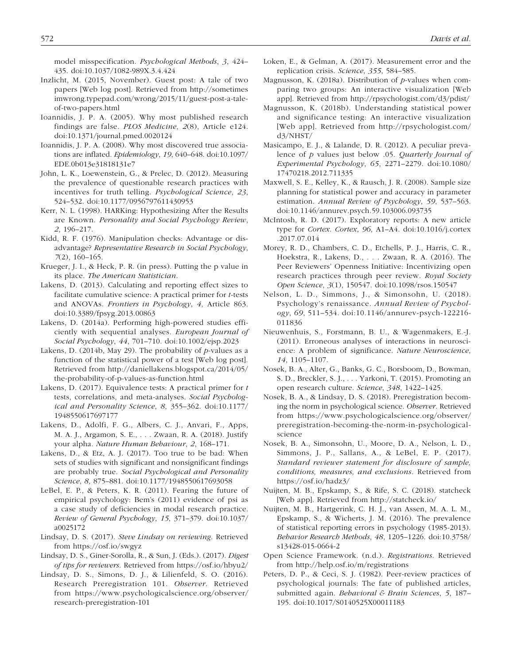model misspecification. *Psychological Methods*, *3*, 424– 435. doi:10.1037/1082-989X.3.4.424

- Inzlicht, M. (2015, November). Guest post: A tale of two papers [Web log post]. Retrieved from [http://sometimes](http://sometimesimwrong.typepad.com/wrong/2015/11/guest-post-a-tale-of-two-papers.html) [imwrong.typepad.com/wrong/2015/11/guest-post-a-tale](http://sometimesimwrong.typepad.com/wrong/2015/11/guest-post-a-tale-of-two-papers.html)[of-two-papers.html](http://sometimesimwrong.typepad.com/wrong/2015/11/guest-post-a-tale-of-two-papers.html)
- Ioannidis, J. P. A. (2005). Why most published research findings are false. *PLOS Medicine*, *2*(8), Article e124. doi:10.1371/journal.pmed.0020124
- Ioannidis, J. P. A. (2008). Why most discovered true associations are inflated. *Epidemiology*, *19*, 640–648. doi:10.1097/ EDE.0b013e31818131e7
- John, L. K., Loewenstein, G., & Prelec, D. (2012). Measuring the prevalence of questionable research practices with incentives for truth telling. *Psychological Science*, *23*, 524–532. doi:10.1177/0956797611430953
- Kerr, N. L. (1998). HARKing: Hypothesizing After the Results are Known. *Personality and Social Psychology Review*, *2*, 196–217.
- Kidd, R. F. (1976). Manipulation checks: Advantage or disadvantage? *Representative Research in Social Psychology*, *7*(2), 160–165.
- Krueger, J. I., & Heck, P. R. (in press). Putting the p value in its place. *The American Statistician*.
- Lakens, D. (2013). Calculating and reporting effect sizes to facilitate cumulative science: A practical primer for *t*-tests and ANOVAs. *Frontiers in Psychology*, *4*, Article 863. doi:10.3389/fpsyg.2013.00863
- Lakens, D. (2014a). Performing high-powered studies efficiently with sequential analyses. *European Journal of Social Psychology*, *44*, 701–710. doi:10.1002/ejsp.2023
- Lakens, D. (2014b, May 29). The probability of *p*-values as a function of the statistical power of a test [Web log post]. Retrieved from [http://daniellakens.blogspot.ca/2014/05/](http://daniellakens.blogspot.ca/2014/05/the-probability-of-p-values-as-function.html) [the-probability-of-p-values-as-function.html](http://daniellakens.blogspot.ca/2014/05/the-probability-of-p-values-as-function.html)
- Lakens, D. (2017). Equivalence tests: A practical primer for *t* tests, correlations, and meta-analyses. *Social Psychological and Personality Science*, *8*, 355–362. doi:10.1177/ 1948550617697177
- Lakens, D., Adolfi, F. G., Albers, C. J., Anvari, F., Apps, M. A. J., Argamon, S. E., . . . Zwaan, R. A. (2018). Justify your alpha. *Nature Human Behaviour*, *2*, 168–171.
- Lakens, D., & Etz, A. J. (2017). Too true to be bad: When sets of studies with significant and nonsignificant findings are probably true. *Social Psychological and Personality Science*, *8*, 875–881. doi:10.1177/1948550617693058
- LeBel, E. P., & Peters, K. R. (2011). Fearing the future of empirical psychology: Bem's (2011) evidence of psi as a case study of deficiencies in modal research practice. *Review of General Psychology*, *15*, 371–379. doi:10.1037/ a0025172
- Lindsay, D. S. (2017). *Steve Lindsay on reviewing*. Retrieved from https://osf.io/swgyz
- Lindsay, D. S., Giner-Sorolla, R., & Sun, J. (Eds.). (2017). *Digest of tips for reviewers*. Retrieved from https://osf.io/hbyu2/
- Lindsay, D. S., Simons, D. J., & Lilienfeld, S. O. (2016). Research Preregistration 101. *Observer*. Retrieved from [https://www.psychologicalscience.org/observer/](https://www.psychologicalscience.org/observer/research-preregistration-101) [research-preregistration-101](https://www.psychologicalscience.org/observer/research-preregistration-101)
- Loken, E., & Gelman, A. (2017). Measurement error and the replication crisis. *Science*, *355*, 584–585.
- Magnusson, K. (2018a). Distribution of *p*-values when comparing two groups: An interactive visualization [Web app]. Retrieved from http://rpsychologist.com/d3/pdist/
- Magnusson, K. (2018b). Understanding statistical power and significance testing: An interactive visualization [Web app]. Retrieved from [http://rpsychologist.com/](http://rpsychologist.com/d3/NHST/) [d3/NHST/](http://rpsychologist.com/d3/NHST/)
- Masicampo, E. J., & Lalande, D. R. (2012). A peculiar prevalence of *p* values just below .05. *Quarterly Journal of Experimental Psychology*, *65*, 2271–2279. doi:10.1080/ 17470218.2012.711335
- Maxwell, S. E., Kelley, K., & Rausch, J. R. (2008). Sample size planning for statistical power and accuracy in parameter estimation. *Annual Review of Psychology*, *59*, 537–563. doi:10.1146/annurev.psych.59.103006.093735
- McIntosh, R. D. (2017). Exploratory reports: A new article type for *Cortex*. *Cortex*, *96*, A1–A4. doi:10.1016/j.cortex .2017.07.014
- Morey, R. D., Chambers, C. D., Etchells, P. J., Harris, C. R., Hoekstra, R., Lakens, D., . . . Zwaan, R. A. (2016). The Peer Reviewers' Openness Initiative: Incentivizing open research practices through peer review. *Royal Society Open Science*, *3*(1), 150547. doi:10.1098/rsos.150547
- Nelson, L. D., Simmons, J., & Simonsohn, U. (2018). Psychology's renaissance. *Annual Review of Psychology*, *69*, 511–534. doi:10.1146/annurev-psych-122216- 011836
- Nieuwenhuis, S., Forstmann, B. U., & Wagenmakers, E.-J. (2011). Erroneous analyses of interactions in neuroscience: A problem of significance. *Nature Neuroscience*, *14*, 1105–1107.
- Nosek, B. A., Alter, G., Banks, G. C., Borsboom, D., Bowman, S. D., Breckler, S. J., . . . Yarkoni, T. (2015). Promoting an open research culture. *Science*, *348*, 1422–1425.
- Nosek, B. A., & Lindsay, D. S. (2018). Preregistration becoming the norm in psychological science. *Observer*. Retrieved from [https://www.psychologicalscience.org/observer/](https://www.psychologicalscience.org/observer/preregistration-becoming-the-norm-in-psychological-science) [preregistration-becoming-the-norm-in-psychological](https://www.psychologicalscience.org/observer/preregistration-becoming-the-norm-in-psychological-science)[science](https://www.psychologicalscience.org/observer/preregistration-becoming-the-norm-in-psychological-science)
- Nosek, B. A., Simonsohn, U., Moore, D. A., Nelson, L. D., Simmons, J. P., Sallans, A., & LeBel, E. P. (2017). *Standard reviewer statement for disclosure of sample, conditions, measures, and exclusions*. Retrieved from <https://osf.io/hadz3/>
- Nuijten, M. B., Epskamp, S., & Rife, S. C. (2018). statcheck [Web app]. Retrieved from http://statcheck.io/
- Nuijten, M. B., Hartgerink, C. H. J., van Assen, M. A. L. M., Epskamp, S., & Wicherts, J. M. (2016). The prevalence of statistical reporting errors in psychology (1985-2013). *Behavior Research Methods*, *48*, 1205–1226. doi:10.3758/ s13428-015-0664-2
- Open Science Framework. (n.d.). *Registrations*. Retrieved from http://help.osf.io/m/registrations
- Peters, D. P., & Ceci, S. J. (1982). Peer-review practices of psychological journals: The fate of published articles, submitted again. *Behavioral & Brain Sciences*, *5*, 187– 195. doi:10.1017/S0140525X00011183